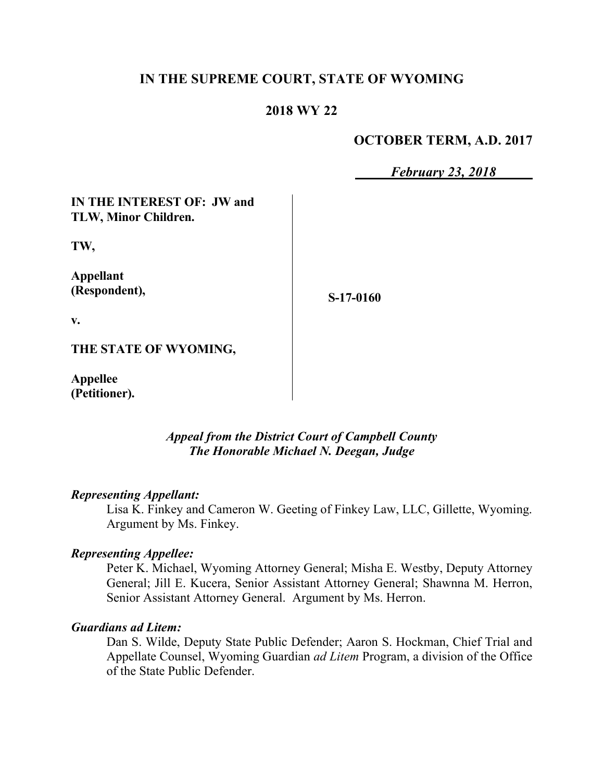# **IN THE SUPREME COURT, STATE OF WYOMING**

## **2018 WY 22**

### **OCTOBER TERM, A.D. 2017**

*February 23, 2018*

**IN THE INTEREST OF: JW and TLW, Minor Children.**

**TW,**

**Appellant (Respondent),**

**S-17-0160**

**v.**

**THE STATE OF WYOMING,**

**Appellee (Petitioner).**

> *Appeal from the District Court of Campbell County The Honorable Michael N. Deegan, Judge*

#### *Representing Appellant:*

Lisa K. Finkey and Cameron W. Geeting of Finkey Law, LLC, Gillette, Wyoming. Argument by Ms. Finkey.

#### *Representing Appellee:*

Peter K. Michael, Wyoming Attorney General; Misha E. Westby, Deputy Attorney General; Jill E. Kucera, Senior Assistant Attorney General; Shawnna M. Herron, Senior Assistant Attorney General. Argument by Ms. Herron.

#### *Guardians ad Litem:*

Dan S. Wilde, Deputy State Public Defender; Aaron S. Hockman, Chief Trial and Appellate Counsel, Wyoming Guardian *ad Litem* Program, a division of the Office of the State Public Defender.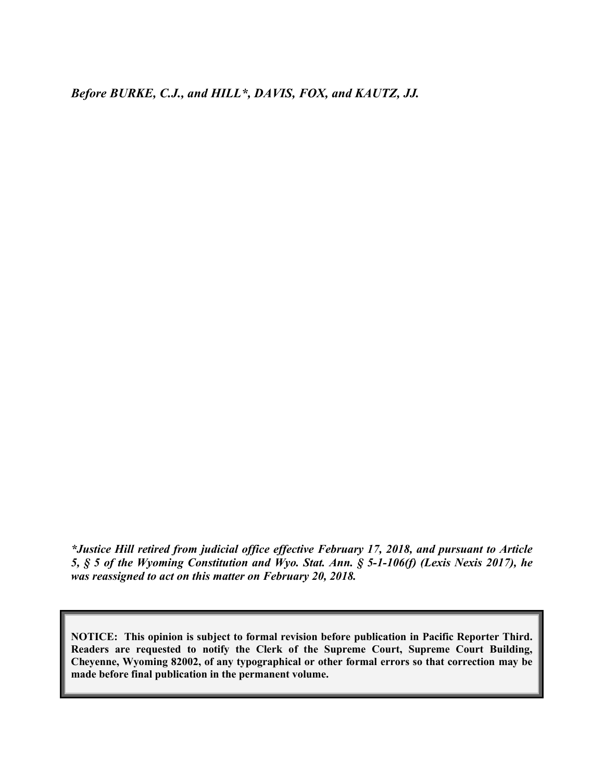*Before BURKE, C.J., and HILL\*, DAVIS, FOX, and KAUTZ, JJ.*

*\*Justice Hill retired from judicial office effective February 17, 2018, and pursuant to Article 5, § 5 of the Wyoming Constitution and Wyo. Stat. Ann. § 5-1-106(f) (Lexis Nexis 2017), he was reassigned to act on this matter on February 20, 2018.*

**NOTICE: This opinion is subject to formal revision before publication in Pacific Reporter Third. Readers are requested to notify the Clerk of the Supreme Court, Supreme Court Building, Cheyenne, Wyoming 82002, of any typographical or other formal errors so that correction may be made before final publication in the permanent volume.**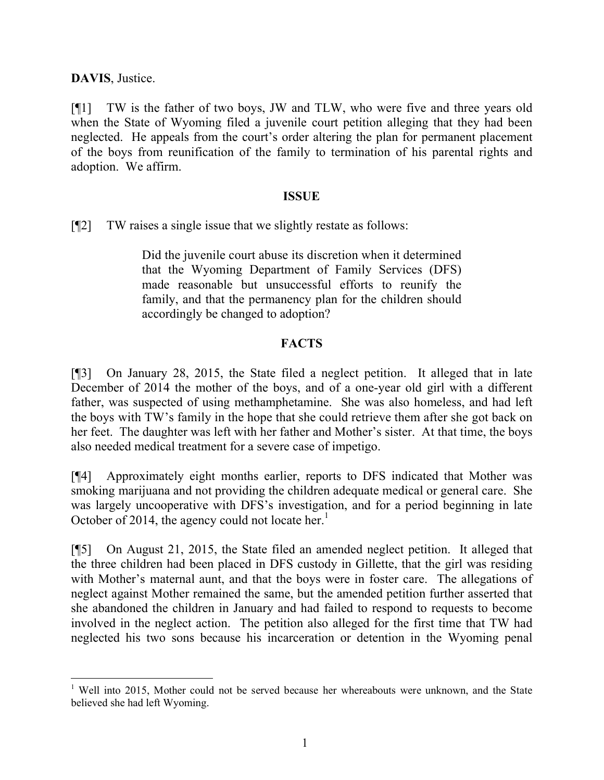**DAVIS**, Justice.

[¶1] TW is the father of two boys, JW and TLW, who were five and three years old when the State of Wyoming filed a juvenile court petition alleging that they had been neglected. He appeals from the court's order altering the plan for permanent placement of the boys from reunification of the family to termination of his parental rights and adoption. We affirm.

#### **ISSUE**

[¶2] TW raises a single issue that we slightly restate as follows:

Did the juvenile court abuse its discretion when it determined that the Wyoming Department of Family Services (DFS) made reasonable but unsuccessful efforts to reunify the family, and that the permanency plan for the children should accordingly be changed to adoption?

# **FACTS**

[¶3] On January 28, 2015, the State filed a neglect petition. It alleged that in late December of 2014 the mother of the boys, and of a one-year old girl with a different father, was suspected of using methamphetamine. She was also homeless, and had left the boys with TW's family in the hope that she could retrieve them after she got back on her feet. The daughter was left with her father and Mother's sister. At that time, the boys also needed medical treatment for a severe case of impetigo.

[¶4] Approximately eight months earlier, reports to DFS indicated that Mother was smoking marijuana and not providing the children adequate medical or general care. She was largely uncooperative with DFS's investigation, and for a period beginning in late October of 2014, the agency could not locate her.<sup>1</sup>

[¶5] On August 21, 2015, the State filed an amended neglect petition. It alleged that the three children had been placed in DFS custody in Gillette, that the girl was residing with Mother's maternal aunt, and that the boys were in foster care. The allegations of neglect against Mother remained the same, but the amended petition further asserted that she abandoned the children in January and had failed to respond to requests to become involved in the neglect action. The petition also alleged for the first time that TW had neglected his two sons because his incarceration or detention in the Wyoming penal

<sup>&</sup>lt;sup>1</sup> Well into 2015, Mother could not be served because her whereabouts were unknown, and the State believed she had left Wyoming.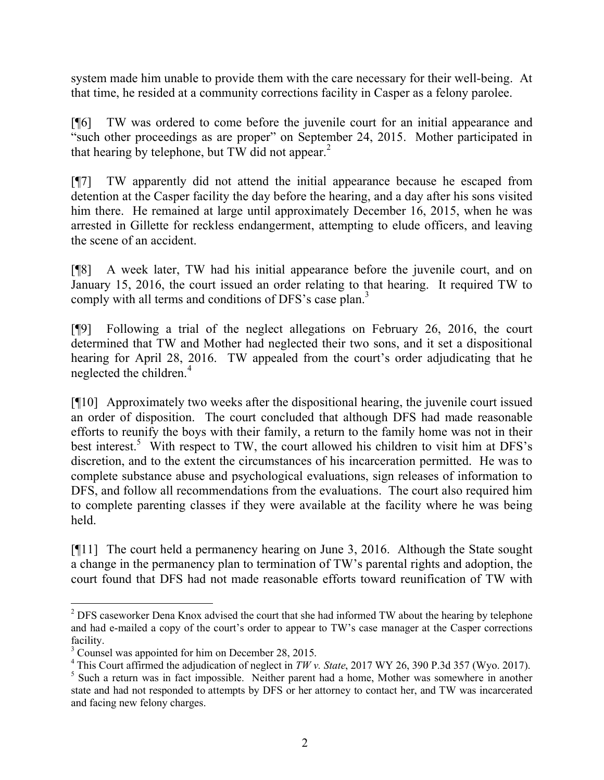system made him unable to provide them with the care necessary for their well-being. At that time, he resided at a community corrections facility in Casper as a felony parolee.

[¶6] TW was ordered to come before the juvenile court for an initial appearance and "such other proceedings as are proper" on September 24, 2015. Mother participated in that hearing by telephone, but TW did not appear.<sup>2</sup>

[¶7] TW apparently did not attend the initial appearance because he escaped from detention at the Casper facility the day before the hearing, and a day after his sons visited him there. He remained at large until approximately December 16, 2015, when he was arrested in Gillette for reckless endangerment, attempting to elude officers, and leaving the scene of an accident.

[¶8] A week later, TW had his initial appearance before the juvenile court, and on January 15, 2016, the court issued an order relating to that hearing. It required TW to comply with all terms and conditions of DFS's case plan.<sup>3</sup>

[¶9] Following a trial of the neglect allegations on February 26, 2016, the court determined that TW and Mother had neglected their two sons, and it set a dispositional hearing for April 28, 2016. TW appealed from the court's order adjudicating that he neglected the children.<sup>4</sup>

[¶10] Approximately two weeks after the dispositional hearing, the juvenile court issued an order of disposition. The court concluded that although DFS had made reasonable efforts to reunify the boys with their family, a return to the family home was not in their best interest.<sup>5</sup> With respect to TW, the court allowed his children to visit him at DFS's discretion, and to the extent the circumstances of his incarceration permitted. He was to complete substance abuse and psychological evaluations, sign releases of information to DFS, and follow all recommendations from the evaluations. The court also required him to complete parenting classes if they were available at the facility where he was being held.

[¶11] The court held a permanency hearing on June 3, 2016. Although the State sought a change in the permanency plan to termination of TW's parental rights and adoption, the court found that DFS had not made reasonable efforts toward reunification of TW with

l

<sup>&</sup>lt;sup>2</sup> DFS caseworker Dena Knox advised the court that she had informed TW about the hearing by telephone and had e-mailed a copy of the court's order to appear to TW's case manager at the Casper corrections facility.

<sup>&</sup>lt;sup>3</sup> Counsel was appointed for him on December 28, 2015.

<sup>4</sup> This Court affirmed the adjudication of neglect in *TW v. State*, 2017 WY 26, 390 P.3d 357 (Wyo. 2017).

<sup>&</sup>lt;sup>5</sup> Such a return was in fact impossible. Neither parent had a home, Mother was somewhere in another state and had not responded to attempts by DFS or her attorney to contact her, and TW was incarcerated and facing new felony charges.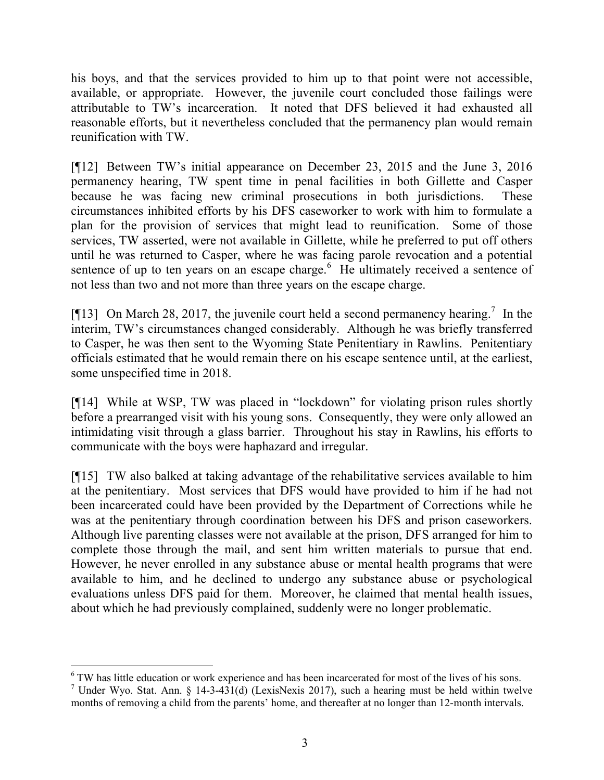his boys, and that the services provided to him up to that point were not accessible, available, or appropriate. However, the juvenile court concluded those failings were attributable to TW's incarceration. It noted that DFS believed it had exhausted all reasonable efforts, but it nevertheless concluded that the permanency plan would remain reunification with TW.

[¶12] Between TW's initial appearance on December 23, 2015 and the June 3, 2016 permanency hearing, TW spent time in penal facilities in both Gillette and Casper because he was facing new criminal prosecutions in both jurisdictions. These circumstances inhibited efforts by his DFS caseworker to work with him to formulate a plan for the provision of services that might lead to reunification. Some of those services, TW asserted, were not available in Gillette, while he preferred to put off others until he was returned to Casper, where he was facing parole revocation and a potential sentence of up to ten years on an escape charge. $6$  He ultimately received a sentence of not less than two and not more than three years on the escape charge.

[ $[13]$  On March 28, 2017, the juvenile court held a second permanency hearing.<sup>7</sup> In the interim, TW's circumstances changed considerably. Although he was briefly transferred to Casper, he was then sent to the Wyoming State Penitentiary in Rawlins. Penitentiary officials estimated that he would remain there on his escape sentence until, at the earliest, some unspecified time in 2018.

[¶14] While at WSP, TW was placed in "lockdown" for violating prison rules shortly before a prearranged visit with his young sons. Consequently, they were only allowed an intimidating visit through a glass barrier. Throughout his stay in Rawlins, his efforts to communicate with the boys were haphazard and irregular.

[¶15] TW also balked at taking advantage of the rehabilitative services available to him at the penitentiary. Most services that DFS would have provided to him if he had not been incarcerated could have been provided by the Department of Corrections while he was at the penitentiary through coordination between his DFS and prison caseworkers. Although live parenting classes were not available at the prison, DFS arranged for him to complete those through the mail, and sent him written materials to pursue that end. However, he never enrolled in any substance abuse or mental health programs that were available to him, and he declined to undergo any substance abuse or psychological evaluations unless DFS paid for them. Moreover, he claimed that mental health issues, about which he had previously complained, suddenly were no longer problematic.

l

<sup>&</sup>lt;sup>6</sup> TW has little education or work experience and has been incarcerated for most of the lives of his sons.

<sup>&</sup>lt;sup>7</sup> Under Wyo. Stat. Ann. § 14-3-431(d) (LexisNexis 2017), such a hearing must be held within twelve months of removing a child from the parents' home, and thereafter at no longer than 12-month intervals.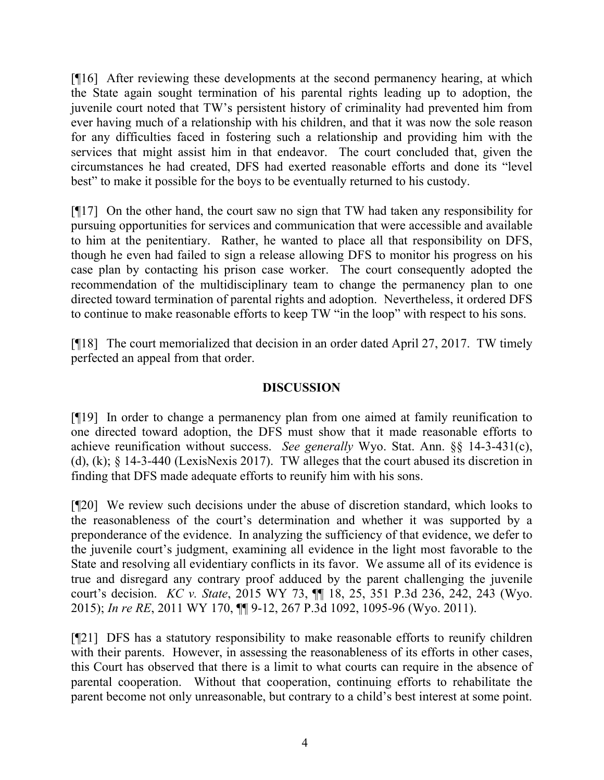[¶16] After reviewing these developments at the second permanency hearing, at which the State again sought termination of his parental rights leading up to adoption, the juvenile court noted that TW's persistent history of criminality had prevented him from ever having much of a relationship with his children, and that it was now the sole reason for any difficulties faced in fostering such a relationship and providing him with the services that might assist him in that endeavor. The court concluded that, given the circumstances he had created, DFS had exerted reasonable efforts and done its "level best" to make it possible for the boys to be eventually returned to his custody.

[¶17] On the other hand, the court saw no sign that TW had taken any responsibility for pursuing opportunities for services and communication that were accessible and available to him at the penitentiary. Rather, he wanted to place all that responsibility on DFS, though he even had failed to sign a release allowing DFS to monitor his progress on his case plan by contacting his prison case worker. The court consequently adopted the recommendation of the multidisciplinary team to change the permanency plan to one directed toward termination of parental rights and adoption. Nevertheless, it ordered DFS to continue to make reasonable efforts to keep TW "in the loop" with respect to his sons.

[¶18] The court memorialized that decision in an order dated April 27, 2017. TW timely perfected an appeal from that order.

### **DISCUSSION**

[¶19] In order to change a permanency plan from one aimed at family reunification to one directed toward adoption, the DFS must show that it made reasonable efforts to achieve reunification without success. *See generally* Wyo. Stat. Ann. §§ 14-3-431(c), (d), (k); § 14-3-440 (LexisNexis 2017). TW alleges that the court abused its discretion in finding that DFS made adequate efforts to reunify him with his sons.

[¶20] We review such decisions under the abuse of discretion standard, which looks to the reasonableness of the court's determination and whether it was supported by a preponderance of the evidence. In analyzing the sufficiency of that evidence, we defer to the juvenile court's judgment, examining all evidence in the light most favorable to the State and resolving all evidentiary conflicts in its favor. We assume all of its evidence is true and disregard any contrary proof adduced by the parent challenging the juvenile court's decision. *KC v. State*, 2015 WY 73, ¶¶ 18, 25, 351 P.3d 236, 242, 243 (Wyo. 2015); *In re RE*, 2011 WY 170, ¶¶ 9-12, 267 P.3d 1092, 1095-96 (Wyo. 2011).

[¶21] DFS has a statutory responsibility to make reasonable efforts to reunify children with their parents. However, in assessing the reasonableness of its efforts in other cases, this Court has observed that there is a limit to what courts can require in the absence of parental cooperation. Without that cooperation, continuing efforts to rehabilitate the parent become not only unreasonable, but contrary to a child's best interest at some point.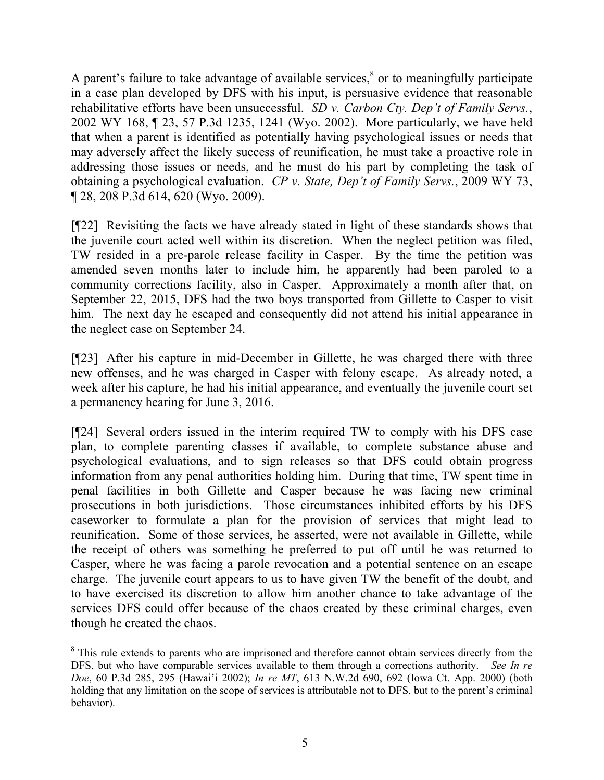A parent's failure to take advantage of available services, $\delta$  or to meaningfully participate in a case plan developed by DFS with his input, is persuasive evidence that reasonable rehabilitative efforts have been unsuccessful. *SD v. Carbon Cty. Dep't of Family Servs.*, 2002 WY 168, ¶ 23, 57 P.3d 1235, 1241 (Wyo. 2002). More particularly, we have held that when a parent is identified as potentially having psychological issues or needs that may adversely affect the likely success of reunification, he must take a proactive role in addressing those issues or needs, and he must do his part by completing the task of obtaining a psychological evaluation. *CP v. State, Dep't of Family Servs.*, 2009 WY 73, ¶ 28, 208 P.3d 614, 620 (Wyo. 2009).

[¶22] Revisiting the facts we have already stated in light of these standards shows that the juvenile court acted well within its discretion. When the neglect petition was filed, TW resided in a pre-parole release facility in Casper. By the time the petition was amended seven months later to include him, he apparently had been paroled to a community corrections facility, also in Casper. Approximately a month after that, on September 22, 2015, DFS had the two boys transported from Gillette to Casper to visit him. The next day he escaped and consequently did not attend his initial appearance in the neglect case on September 24.

[¶23] After his capture in mid-December in Gillette, he was charged there with three new offenses, and he was charged in Casper with felony escape. As already noted, a week after his capture, he had his initial appearance, and eventually the juvenile court set a permanency hearing for June 3, 2016.

[¶24] Several orders issued in the interim required TW to comply with his DFS case plan, to complete parenting classes if available, to complete substance abuse and psychological evaluations, and to sign releases so that DFS could obtain progress information from any penal authorities holding him. During that time, TW spent time in penal facilities in both Gillette and Casper because he was facing new criminal prosecutions in both jurisdictions. Those circumstances inhibited efforts by his DFS caseworker to formulate a plan for the provision of services that might lead to reunification. Some of those services, he asserted, were not available in Gillette, while the receipt of others was something he preferred to put off until he was returned to Casper, where he was facing a parole revocation and a potential sentence on an escape charge. The juvenile court appears to us to have given TW the benefit of the doubt, and to have exercised its discretion to allow him another chance to take advantage of the services DFS could offer because of the chaos created by these criminal charges, even though he created the chaos.

 $\overline{a}$ 

<sup>&</sup>lt;sup>8</sup> This rule extends to parents who are imprisoned and therefore cannot obtain services directly from the DFS, but who have comparable services available to them through a corrections authority. *See In re Doe*, 60 P.3d 285, 295 (Hawai'i 2002); *In re MT*, 613 N.W.2d 690, 692 (Iowa Ct. App. 2000) (both holding that any limitation on the scope of services is attributable not to DFS, but to the parent's criminal behavior).